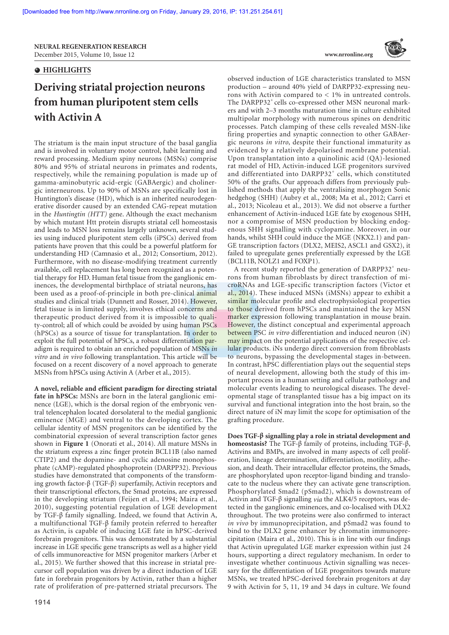**NEURAL REGENERATION RESEARCH**  December 2015,Volume 10,Issue 12 **www.nrronline.org**

## $\bullet$  **HIGHLIGHTS**

# **Deriving striatal projection neurons from human pluripotent stem cells with Activin A**

The striatum is the main input structure of the basal ganglia and is involved in voluntary motor control, habit learning and reward processing. Medium spiny neurons (MSNs) comprise 80% and 95% of striatal neurons in primates and rodents, respectively, while the remaining population is made up of gamma-aminobutyric acid-ergic (GABAergic) and cholinergic interneurons. Up to 90% of MSNs are specifically lost in Huntington's disease (HD), which is an inherited neurodegenerative disorder caused by an extended CAG-repeat mutation in the *Huntingtin (HTT)* gene. Although the exact mechanism by which mutant Htt protein disrupts striatal cell homeostasis and leads to MSN loss remains largely unknown, several studies using induced pluripotent stem cells (iPSCs) derived from patients have proven that this could be a powerful platform for understanding HD (Camnasio et al., 2012; Consortium, 2012). Furthermore, with no disease-modifying treatment currently available, cell replacement has long been recognized as a potential therapy for HD. Human fetal tissue from the ganglionic eminences, the developmental birthplace of striatal neurons, has been used as a proof-of-principle in both pre-clinical animal studies and clinical trials (Dunnett and Rosser, 2014). However, fetal tissue is in limited supply, involves ethical concerns and therapeutic product derived from it is impossible to quality-control; all of which could be avoided by using human PSCs (hPSCs) as a source of tissue for transplantation. In order to exploit the full potential of hPSCs, a robust differentiation paradigm is required to obtain an enriched population of MSNs *in vitro* and *in vivo* following transplantation. This article will be focused on a recent discovery of a novel approach to generate MSNs from hPSCs using Activin A (Arber et al., 2015).

**A novel, reliable and efficient paradigm for directing striatal fate in hPSCs:** MSNs are born in the lateral ganglionic eminence (LGE), which is the dorsal region of the embryonic ventral telencephalon located dorsolateral to the medial ganglionic eminence (MGE) and ventral to the developing cortex. The cellular identity of MSN progenitors can be identified by the combinatorial expression of several transcription factor genes shown in **Figure 1** (Onorati et al., 2014). All mature MSNs in the striatum express a zinc finger protein BCL11B (also named CTIP2) and the dopamine- and cyclic adenosine monophosphate (cAMP)-regulated phosphoprotein (DARPP32). Previous studies have demonstrated that components of the transforming growth factor-β (TGF-β) superfamily, Activin receptors and their transcriptional effectors, the Smad proteins, are expressed in the developing striatum (Feijen et al., 1994; Maira et al., 2010), suggesting potential regulation of LGE development by TGF-β family signalling. Indeed, we found that Activin A, a multifunctional TGF-β family protein referred to hereafter as Activin, is capable of inducing LGE fate in hPSC-derived forebrain progenitors. This was demonstrated by a substantial increase in LGE specific gene transcripts as well as a higher yield of cells immunoreactive for MSN progenitor markers (Arber et al., 2015). We further showed that this increase in striatal precursor cell population was driven by a direct induction of LGE fate in forebrain progenitors by Activin, rather than a higher rate of proliferation of pre-patterned striatal precursors. The



observed induction of LGE characteristics translated to MSN production – around 40% yield of DARPP32-expressing neurons with Activin compared to < 1% in untreated controls. The DARPP32<sup>+</sup> cells co-expressed other MSN neuronal markers and with 2–3 months maturation time in culture exhibited multipolar morphology with numerous spines on dendritic processes. Patch clamping of these cells revealed MSN-like firing properties and synaptic connection to other GABAergic neurons *in vitro*, despite their functional immaturity as evidenced by a relatively depolarised membrane potential. Upon transplantation into a quinolinic acid (QA)-lesioned rat model of HD, Activin-induced LGE progenitors survived and differentiated into DARPP32<sup>+</sup> cells, which constituted 50% of the grafts. Our approach differs from previously published methods that apply the ventralising morphogen Sonic hedgehog (SHH) (Aubry et al., 2008; Ma et al., 2012; Carri et al., 2013; Nicoleau et al., 2013). We did not observe a further enhancement of Activin-induced LGE fate by exogenous SHH, nor a compromise of MSN production by blocking endogenous SHH signalling with cyclopamine. Moreover, in our hands, whilst SHH could induce the MGE (NKX2.1) and pan-GE transcription factors (DLX2, MEIS2, ASCL1 and GSX2), it failed to upregulate genes preferentially expressed by the LGE (BCL11B, NOLZ1 and FOXP1).

A recent study reported the generation of DARPP32<sup>+</sup> neurons from human fibroblasts by direct transfection of microRNAs and LGE-specific transcription factors (Victor et al., 2014). These induced MSNs (iMSNs) appear to exhibit a similar molecular profile and electrophysiological properties to those derived from hPSCs and maintained the key MSN marker expression following transplantation in mouse brain. However, the distinct conceptual and experimental approach between PSC *in vitro* differentiation and induced neuron (iN) may impact on the potential applications of the respective cellular products. iNs undergo direct conversion from fibroblasts to neurons, bypassing the developmental stages in-between. In contrast, hPSC differentiation plays out the sequential steps of neural development, allowing both the study of this important process in a human setting and cellular pathology and molecular events leading to neurological diseases. The developmental stage of transplanted tissue has a big impact on its survival and functional integration into the host brain, so the direct nature of iN may limit the scope for optimisation of the grafting procedure.

**Does TGF-β signalling play a role in striatal development and homeostasis?** The TGF-β family of proteins, including TGF-β, Activins and BMPs, are involved in many aspects of cell proliferation, lineage determination, differentiation, motility, adhesion, and death. Their intracellular effector proteins, the Smads, are phosphorylated upon receptor-ligand binding and translocate to the nucleus where they can activate gene transcription. Phosphorylated Smad2 (pSmad2), which is downstream of Activin and TGF-β signalling *via* the ALK4/5 receptors, was detected in the ganglionic eminences, and co-localised with DLX2 throughout. The two proteins were also confirmed to interact *in vivo* by immunoprecipitation, and pSmad2 was found to bind to the DLX2 gene enhancer by chromatin immunoprecipitation (Maira et al., 2010). This is in line with our findings that Activin upregulated LGE marker expression within just 24 hours, supporting a direct regulatory mechanism. In order to investigate whether continuous Activin signalling was necessary for the differentiation of LGE progenitors towards mature MSNs, we treated hPSC-derived forebrain progenitors at day 9 with Activin for 5, 11, 19 and 34 days in culture. We found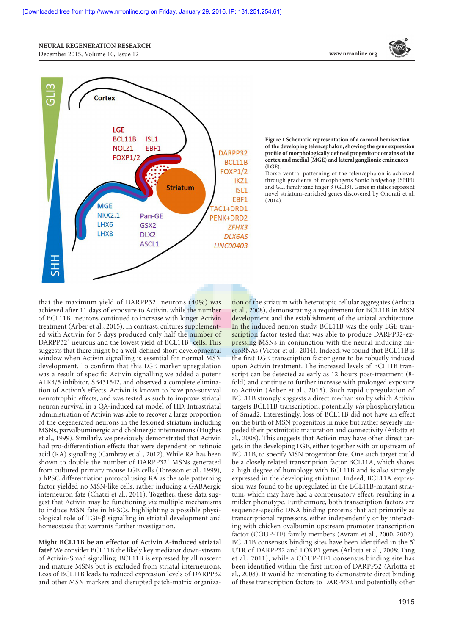## **NEURAL REGENERATION RESEARCH**

December 2015,Volume 10,Issue 12 **www.nrronline.org**





**Figure 1 Schematic representation of a coronal hemisection of the developing telencephalon, showing the gene expression profile of morphologically defined progenitor domains of the cortex and medial (MGE) and lateral ganglionic eminences (LGE).** 

Dorso-ventral patterning of the telencephalon is achieved through gradients of morphogens Sonic hedgehog (SHH) and GLI family zinc finger 3 (GLI3). Genes in italics represent novel striatum-enriched genes discovered by Onorati et al. (2014).

that the maximum yield of DARPP32<sup>+</sup> neurons  $(40\%)$  was achieved after 11 days of exposure to Activin, while the number of BCL11B<sup>+</sup> neurons continued to increase with longer Activin treatment (Arber et al., 2015). In contrast, cultures supplemented with Activin for 5 days produced only half the number of DARPP32<sup>+</sup> neurons and the lowest yield of BCL11B<sup>+</sup> cells. This suggests that there might be a well-defined short developmental window when Activin signalling is essential for normal MSN development. To confirm that this LGE marker upregulation was a result of specific Activin signalling we added a potent ALK4/5 inhibitor, SB431542, and observed a complete elimination of Activin's effects. Activin is known to have pro-survival neurotrophic effects, and was tested as such to improve striatal neuron survival in a QA-induced rat model of HD. Intrastriatal administration of Activin was able to recover a large proportion of the degenerated neurons in the lesioned striatum including MSNs, parvalbuminergic and cholinergic interneurons (Hughes et al., 1999). Similarly, we previously demonstrated that Activin had pro-differentiation effects that were dependent on retinoic acid (RA) signalling (Cambray et al., 2012). While RA has been shown to double the number of DARPP32<sup>+</sup> MSNs generated from cultured primary mouse LGE cells (Toresson et al., 1999), a hPSC differentiation protocol using RA as the sole patterning factor yielded no MSN-like cells, rather inducing a GABAergic interneuron fate (Chatzi et al., 2011). Together, these data suggest that Activin may be functioning *via* multiple mechanisms to induce MSN fate in hPSCs, highlighting a possible physiological role of TGF-β signalling in striatal development and homeostasis that warrants further investigation.

**Might BCL11B be an effector of Activin A-induced striatal fate?** We consider BCL11B the likely key mediator down-stream of Activin-Smad signalling. BCL11B is expressed by all nascent and mature MSNs but is excluded from striatal interneurons. Loss of BCL11B leads to reduced expression levels of DARPP32 and other MSN markers and disrupted patch-matrix organiza-

tion of the striatum with heterotopic cellular aggregates (Arlotta et al., 2008), demonstrating a requirement for BCL11B in MSN development and the establishment of the striatal architecture. In the induced neuron study, BCL11B was the only LGE transcription factor tested that was able to produce DARPP32-expressing MSNs in conjunction with the neural inducing microRNAs (Victor et al., 2014). Indeed, we found that BCL11B is the first LGE transcription factor gene to be robustly induced upon Activin treatment. The increased levels of BCL11B transcript can be detected as early as 12 hours post-treatment (8 fold) and continue to further increase with prolonged exposure to Activin (Arber et al., 2015). Such rapid upregulation of BCL11B strongly suggests a direct mechanism by which Activin targets BCL11B transcription, potentially *via* phosphorylation of Smad2. Interestingly, loss of BCL11B did not have an effect on the birth of MSN progenitors in mice but rather severely impeded their postmitotic maturation and connectivity (Arlotta et al., 2008). This suggests that Activin may have other direct targets in the developing LGE, either together with or upstream of BCL11B, to specify MSN progenitor fate. One such target could be a closely related transcription factor BCL11A, which shares a high degree of homology with BCL11B and is also strongly expressed in the developing striatum. Indeed, BCL11A expression was found to be upregulated in the BCL11B-mutant striatum, which may have had a compensatory effect, resulting in a milder phenotype. Furthermore, both transcription factors are sequence-specific DNA binding proteins that act primarily as transcriptional repressors, either independently or by interacting with chicken ovalbumin upstream promoter transcription factor (COUP-TF) family members (Avram et al., 2000, 2002). BCL11B consensus binding sites have been identified in the 5' UTR of DARPP32 and FOXP1 genes (Arlotta et al., 2008; Tang et al., 2011), while a COUP-TF1 consensus binding site has been identified within the first intron of DARPP32 (Arlotta et al., 2008). It would be interesting to demonstrate direct binding of these transcription factors to DARPP32 and potentially other